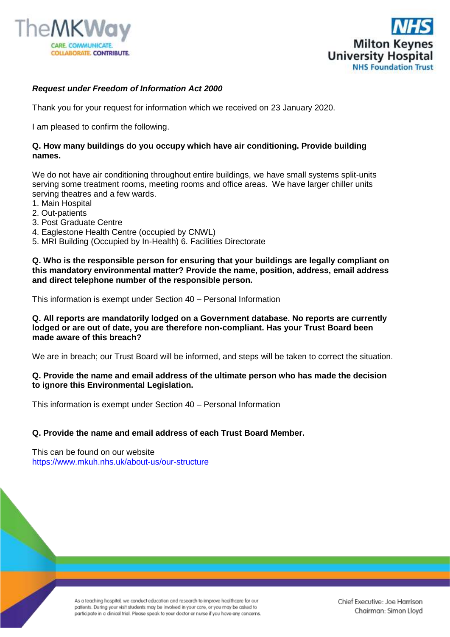



# *Request under Freedom of Information Act 2000*

Thank you for your request for information which we received on 23 January 2020.

I am pleased to confirm the following.

### **Q. How many buildings do you occupy which have air conditioning. Provide building names.**

We do not have air conditioning throughout entire buildings, we have small systems split-units serving some treatment rooms, meeting rooms and office areas. We have larger chiller units serving theatres and a few wards.

- 1. Main Hospital
- 2. Out-patients
- 3. Post Graduate Centre
- 4. Eaglestone Health Centre (occupied by CNWL)
- 5. MRI Building (Occupied by In-Health) 6. Facilities Directorate

**Q. Who is the responsible person for ensuring that your buildings are legally compliant on this mandatory environmental matter? Provide the name, position, address, email address and direct telephone number of the responsible person.** 

This information is exempt under Section 40 – Personal Information

**Q. All reports are mandatorily lodged on a Government database. No reports are currently lodged or are out of date, you are therefore non-compliant. Has your Trust Board been made aware of this breach?**

We are in breach; our Trust Board will be informed, and steps will be taken to correct the situation.

### **Q. Provide the name and email address of the ultimate person who has made the decision to ignore this Environmental Legislation.**

This information is exempt under Section 40 – Personal Information

## **Q. Provide the name and email address of each Trust Board Member.**

This can be found on our website <https://www.mkuh.nhs.uk/about-us/our-structure>

> As a teaching hospital, we conduct education and research to improve healthcare for our patients. During your visit students may be involved in your care, or you may be asked to participate in a clinical trial. Please speak to your doctor or nurse if you have any concerns.